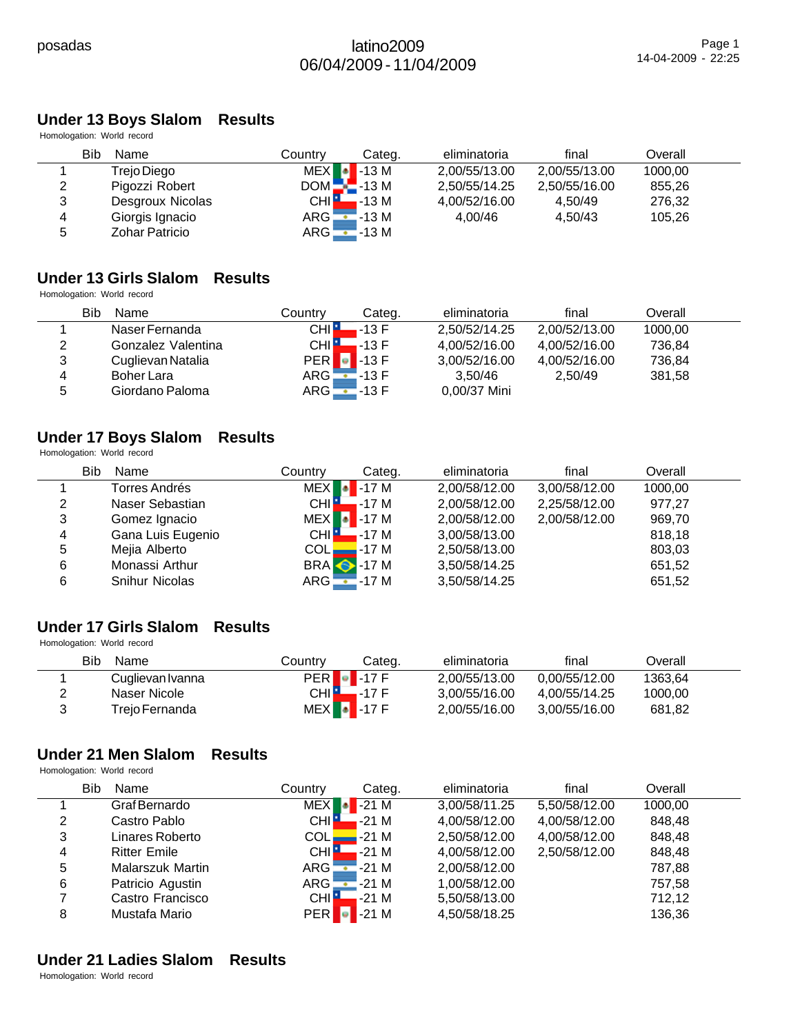# **Under 13 Boys Slalom Results**

Homologation: World record

| Bib | Name                  | Countrv          | Categ.          | eliminatoria  | final         | Overall |  |
|-----|-----------------------|------------------|-----------------|---------------|---------------|---------|--|
|     | Trejo Diego           | <b>MEX</b>       | $\bullet$ -13 M | 2.00/55/13.00 | 2,00/55/13.00 | 1000.00 |  |
| 2   | Pigozzi Robert        | $DOM - 13 M$     |                 | 2,50/55/14.25 | 2,50/55/16.00 | 855.26  |  |
| 3   | Desgroux Nicolas      | CHI <sup>1</sup> | .-13 M          | 4.00/52/16.00 | 4.50/49       | 276.32  |  |
| 4   | Giorgis Ignacio       | $ARG =$          | $=$ -13 M       | 4.00/46       | 4.50/43       | 105.26  |  |
| 5   | <b>Zohar Patricio</b> | $ARG -$          | $-13M$          |               |               |         |  |

#### **Under 13 Girls Slalom Results**

Homologation: World record

|   | Bib<br>Name        | Country                    | Categ.  | eliminatoria  | final         | Overall |  |
|---|--------------------|----------------------------|---------|---------------|---------------|---------|--|
|   | Naser Fernanda     | CHI L                      | .-13 F  | 2,50/52/14.25 | 2.00/52/13.00 | 1000,00 |  |
| 2 | Gonzalez Valentina | <b>CHILL</b>               | $-13 F$ | 4,00/52/16.00 | 4.00/52/16.00 | 736.84  |  |
| 3 | Cuglievan Natalia  | $PER$ $\bullet$ -13 F      |         | 3,00/52/16.00 | 4.00/52/16.00 | 736.84  |  |
| 4 | <b>Boher Lara</b>  | $\mathsf{ARG} \sqsubseteq$ | $-13F$  | 3.50/46       | 2.50/49       | 381,58  |  |
| 5 | Giordano Paloma    | $ARG - 13 F$               |         | 0,00/37 Mini  |               |         |  |

# **Under 17 Boys Slalom Results**

Homologation: World record

|   | Bib<br>Name           | Country          | Categ.            | eliminatoria  | final         | Overall |  |
|---|-----------------------|------------------|-------------------|---------------|---------------|---------|--|
|   | Torres Andrés         | <b>MEX</b>       | $-17M$            | 2,00/58/12.00 | 3,00/58/12.00 | 1000,00 |  |
| 2 | Naser Sebastian       | CHI <sup>1</sup> | -17 M             | 2,00/58/12.00 | 2,25/58/12.00 | 977,27  |  |
| 3 | Gomez Ignacio         |                  | $MEX$ -17 M       | 2,00/58/12.00 | 2,00/58/12.00 | 969,70  |  |
| 4 | Gana Luis Eugenio     | CHI <sup>1</sup> | $-17M$            | 3,00/58/13.00 |               | 818,18  |  |
| 5 | Mejia Alberto         |                  | $COL$ $-$ -17 M   | 2,50/58/13.00 |               | 803,03  |  |
| 6 | Monassi Arthur        |                  | <b>BRA</b> • 17 M | 3,50/58/14.25 |               | 651,52  |  |
| 6 | <b>Snihur Nicolas</b> |                  | $ARG - 17 M$      | 3,50/58/14.25 |               | 651,52  |  |

#### **Under 17 Girls Slalom Results** Homologation: World record

| <b>Bib</b><br>Name | Countrv       | Categ.                | eliminatoria  | final         | Overall |  |
|--------------------|---------------|-----------------------|---------------|---------------|---------|--|
| Cuglievan Ivanna   |               | $PER$ -17 $F$         | 2.00/55/13.00 | 0.00/55/12.00 | 1363.64 |  |
| Naser Nicole       | CHI <b>EL</b> | $-17F$                | 3.00/55/16.00 | 4.00/55/14.25 | 1000.00 |  |
| Trejo Fernanda     |               | $MEX$ $\bullet$ -17 F | 2.00/55/16.00 | 3.00/55/16.00 | 681,82  |  |

# **Under 21 Men Slalom Results**

Homologation: World record

|   | Bib | Name                    | Country            | Categ. | eliminatoria  | final         | Overall |  |
|---|-----|-------------------------|--------------------|--------|---------------|---------------|---------|--|
|   |     | Graf Bernardo           | <b>MEX</b>         | $-21M$ | 3,00/58/11.25 | 5,50/58/12.00 | 1000,00 |  |
| 2 |     | Castro Pablo            | CHI I              | -21 M  | 4,00/58/12.00 | 4,00/58/12.00 | 848,48  |  |
| 3 |     | Linares Roberto         | COL <b>L</b>       | $-21M$ | 2,50/58/12.00 | 4,00/58/12.00 | 848,48  |  |
| 4 |     | <b>Ritter Emile</b>     | CHI <mark>H</mark> | $-21M$ | 4.00/58/12.00 | 2,50/58/12.00 | 848,48  |  |
| 5 |     | <b>Malarszuk Martin</b> | $ARG -$            | -21 M  | 2,00/58/12.00 |               | 787,88  |  |
| 6 |     | Patricio Agustin        | ARG <b>L</b>       | -21 M  | 1,00/58/12.00 |               | 757,58  |  |
|   |     | Castro Francisco        | CHII               | $-21M$ | 5,50/58/13.00 |               | 712,12  |  |
| 8 |     | Mustafa Mario           | <b>PER</b>         | $-21M$ | 4,50/58/18.25 |               | 136,36  |  |

# **Under 21 Ladies Slalom Results**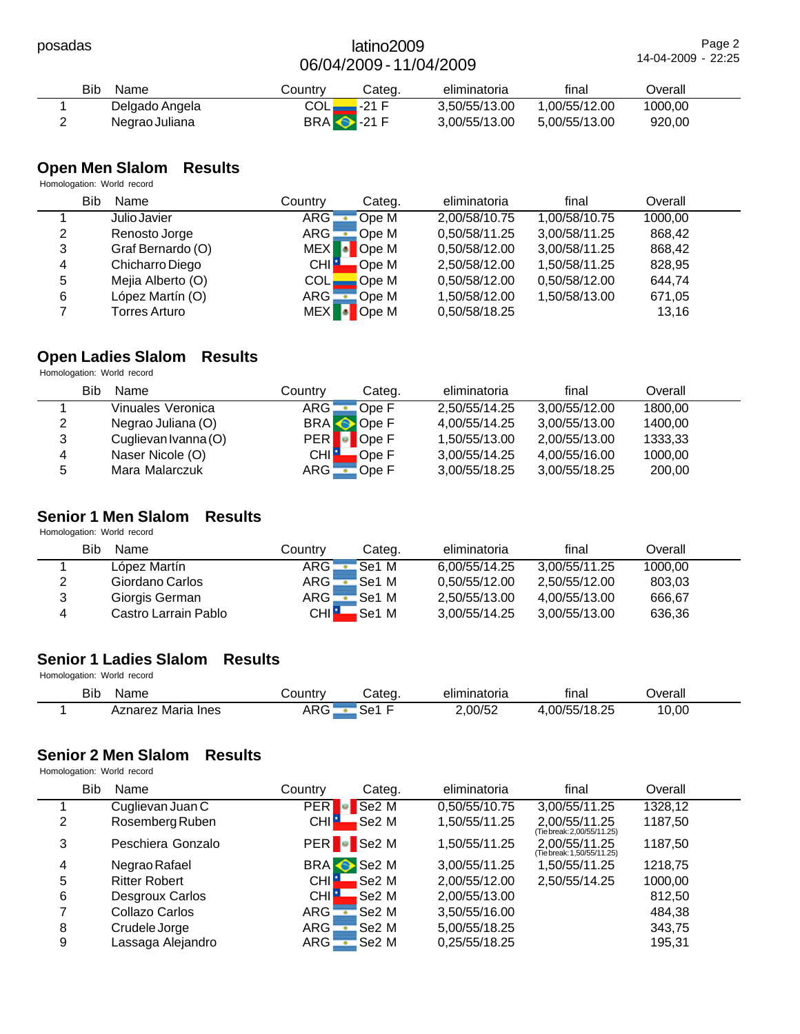|   | Bib<br>Name    | Countrv                    | Cateɑ. | eliminatoria  | final         | Dverall |  |
|---|----------------|----------------------------|--------|---------------|---------------|---------|--|
|   | Delgado Angela | COL <mark>.</mark>         | 7-21 F | 3.50/55/13.00 | 1.00/55/12.00 | 1000.00 |  |
| ∸ | Negrao Juliana | <b>BRA</b> $\bullet$ -21 F |        | 3.00/55/13.00 | 5.00/55/13.00 | 920,00  |  |

# **Open Men Slalom Results**

Homologation: World record

|   | Bib<br>Name          | Countrv          | Categ. | eliminatoria  | final         | Overall |  |
|---|----------------------|------------------|--------|---------------|---------------|---------|--|
|   | Julio Javier         | ARG:             | Ope M  | 2,00/58/10.75 | 1,00/58/10.75 | 1000,00 |  |
| 2 | Renosto Jorge        | ARG.             | Ope M  | 0,50/58/11.25 | 3,00/58/11.25 | 868.42  |  |
| 3 | Graf Bernardo (O)    | MEX <sup>1</sup> | Ope M  | 0,50/58/12.00 | 3,00/58/11.25 | 868.42  |  |
| 4 | Chicharro Diego      | <b>CHIL</b>      | Ope M  | 2,50/58/12.00 | 1,50/58/11.25 | 828,95  |  |
| 5 | Mejia Alberto (O)    | <b>COL</b>       | Ope M  | 0,50/58/12.00 | 0,50/58/12.00 | 644,74  |  |
| 6 | López Martín (O)     | ARG -            | Ope M  | 1,50/58/12.00 | 1,50/58/13.00 | 671,05  |  |
|   | <b>Torres Arturo</b> | <b>MEX</b>       | Ope M  | 0,50/58/18.25 |               | 13,16   |  |

# **Open Ladies Slalom Results**

Homologation: World record

|   | Bib<br>Name          | Countrv          | Categ.    | eliminatoria  | final         | Overall |  |
|---|----------------------|------------------|-----------|---------------|---------------|---------|--|
|   | Vinuales Veronica    | ARG              | Ope F     | 2.50/55/14.25 | 3.00/55/12.00 | 1800.00 |  |
| 2 | Negrao Juliana (O)   |                  | BRA Ope F | 4,00/55/14.25 | 3,00/55/13.00 | 1400.00 |  |
| 3 | Cuglievan Ivanna (O) |                  | PER Ope F | 1,50/55/13.00 | 2,00/55/13.00 | 1333,33 |  |
| 4 | Naser Nicole (O)     | CHI <sup>1</sup> | Ope F     | 3,00/55/14.25 | 4.00/55/16.00 | 1000.00 |  |
| 5 | Mara Malarczuk       | $ARG -$          | Ope F     | 3,00/55/18.25 | 3,00/55/18.25 | 200,00  |  |

# **Senior 1 Men Slalom Results**

Homologation: World record

|   | Bib<br>Name          | Countrv            | Categ. | eliminatoria  | final         | Overall |  |
|---|----------------------|--------------------|--------|---------------|---------------|---------|--|
|   | López Martín         | ARG <mark>:</mark> | Se1 M  | 6.00/55/14.25 | 3.00/55/11.25 | 1000.00 |  |
| 2 | Giordano Carlos      | ARG -              | Se1 M  | 0.50/55/12.00 | 2.50/55/12.00 | 803,03  |  |
| 3 | Giorgis German       | ARG <mark>-</mark> | 'Se1 M | 2.50/55/13.00 | 4.00/55/13.00 | 666.67  |  |
| 4 | Castro Larrain Pablo | CHI <b>E</b>       | .Se1 M | 3.00/55/14.25 | 3.00/55/13.00 | 636,36  |  |

# **Senior 1 Ladies Slalom Results**

Homologation: World record

| <b>Bib</b> | Name                       | ⊃ountr∨                             | ∶ateα   | <br>eliminatoria | <br>tınal         | )verall |  |
|------------|----------------------------|-------------------------------------|---------|------------------|-------------------|---------|--|
|            | Aznarez<br>Maria<br>. Ines | $\wedge$ DC $\ddot{\wedge}$<br>ANG. | -<br>∹≏ | ∠.00/52          | .00/55/<br>/18.25 | 10,00   |  |

# **Senior 2 Men Slalom Results**

|   | <b>Bib</b><br>Name   | Country          | Categ.             | eliminatoria  | final                                       | Overall |  |
|---|----------------------|------------------|--------------------|---------------|---------------------------------------------|---------|--|
|   | Cuglievan Juan C     | <b>PER</b>       | Se <sub>2</sub> M  | 0,50/55/10.75 | 3,00/55/11.25                               | 1328,12 |  |
| 2 | Rosemberg Ruben      | CHI.             | Se2 M              | 1,50/55/11.25 | 2,00/55/11.25<br>(Tiebreak: 2,00/55/11.25)  | 1187,50 |  |
| 3 | Peschiera Gonzalo    |                  | PER <b>C</b> Se2 M | 1,50/55/11.25 | 2.00/55/11.25<br>(Tie break: 1,50/55/11.25) | 1187,50 |  |
| 4 | Negrao Rafael        |                  | BRA Se2 M          | 3.00/55/11.25 | 1.50/55/11.25                               | 1218,75 |  |
| 5 | <b>Ritter Robert</b> | <b>CHI</b>       | Se2 M              | 2,00/55/12.00 | 2,50/55/14.25                               | 1000,00 |  |
| 6 | Desgroux Carlos      | CHI <sup>1</sup> | Se2 M              | 2,00/55/13.00 |                                             | 812,50  |  |
| ⇁ | Collazo Carlos       | ARG !            | Se2 M              | 3,50/55/16.00 |                                             | 484.38  |  |
| 8 | Crudele Jorge        | ARG !            | Se2 M              | 5,00/55/18.25 |                                             | 343,75  |  |
| 9 | Lassaga Alejandro    | ARG:             | Se2 M              | 0,25/55/18.25 |                                             | 195,31  |  |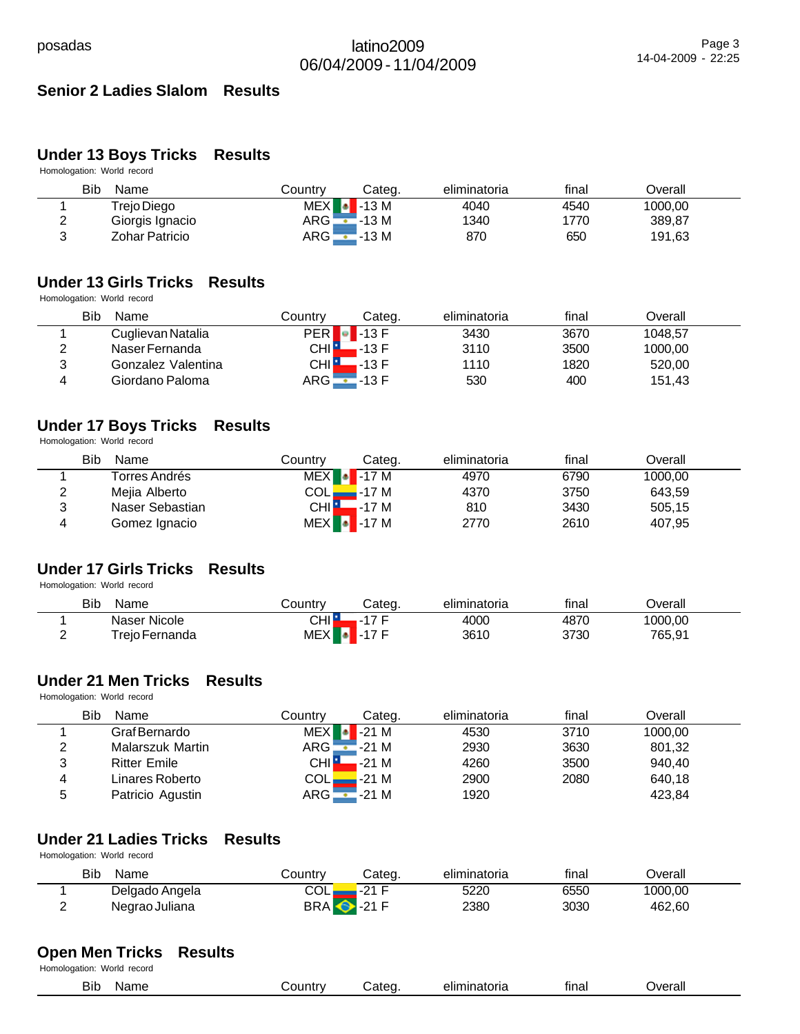# **Senior 2 Ladies Slalom Results**

# **Under 13 Boys Tricks Results**

Homologation: World record

|               | Bib<br>Name     | Countrv         | Categ.               | eliminatoria | final | ⊃verall |  |
|---------------|-----------------|-----------------|----------------------|--------------|-------|---------|--|
|               | Trejo Diego     | <b>MEX</b><br>м | $\blacksquare$ -13 M | 4040         | 4540  | 1000,00 |  |
| ົ<br><u>_</u> | Giorgis Ignacio | ARG             | $-13M$               | 1340         | 1770  | 389,87  |  |
| ⌒             | Zohar Patricio  | ARG'            | $-13M$               | 870          | 650   | 191,63  |  |

# **Under 13 Girls Tricks Results**

Homologation: World record

|        | Bib<br>Name        | Countrv      | Categ.               | eliminatoria | final | ⊃verall |  |
|--------|--------------------|--------------|----------------------|--------------|-------|---------|--|
|        | Cuglievan Natalia  |              | $PER$ $\bullet$ 13 F | 3430         | 3670  | 1048.57 |  |
| ◠<br>∸ | Naser Fernanda     | CHI <b>F</b> | $-13$ F              | 3110         | 3500  | 1000,00 |  |
| 3      | Gonzalez Valentina | CHI L        | $-13 F$              | 1110         | 1820  | 520,00  |  |
| 4      | Giordano Paloma    | ARG !        | .-13 F               | 530          | 400   | 151.43  |  |

# **Under 17 Boys Tricks Results**

Homologation: World record

|   | Bib<br>Name     | Countrv      | Cateɑ.                | eliminatoria | final | Overall |  |
|---|-----------------|--------------|-----------------------|--------------|-------|---------|--|
|   | Torres Andrés   |              | $MEX$ -17 M           | 4970         | 6790  | 1000.00 |  |
| ∼ | Mejia Alberto   |              | COL <b>____</b> -17 M | 4370         | 3750  | 643.59  |  |
| າ | Naser Sebastian | <b>CHILL</b> | —-17 M                | 810          | 3430  | 505.15  |  |
|   | Gomez Ignacio   |              | $MEX$ $\bullet$ -17 M | 2770         | 2610  | 407,95  |  |

# **Under 17 Girls Tricks Results**

Homologation: World record

| Bib<br>Name                | Country          | Cateq.              | eliminatoria | final | )verall |  |
|----------------------------|------------------|---------------------|--------------|-------|---------|--|
| Naser Nicole               | CHI∥             | ィフ ロ<br>- 1         | 4000         | 4870  | 1000,00 |  |
| <sup>-</sup> reio Fernanda | MEX <sup>1</sup> | $\blacksquare$ 17 F | 3610         | 3730  | 765,91  |  |

#### **Under 21 Men Tricks Results**

Homologation: World record

|   | Bib<br>Name         | Countrv      | Categ.      | eliminatoria | final | Overall |  |
|---|---------------------|--------------|-------------|--------------|-------|---------|--|
|   | Graf Bernardo       |              | $MEX$ -21 M | 4530         | 3710  | 1000,00 |  |
|   | Malarszuk Martin    | ARG <b>-</b> | -21 M       | 2930         | 3630  | 801,32  |  |
| 2 | <b>Ritter Emile</b> | <b>CHIL</b>  | $-21M$      | 4260         | 3500  | 940.40  |  |
| 4 | Linares Roberto     | COLL         | -21 M       | 2900         | 2080  | 640,18  |  |
| 5 | Patricio Agustin    | ARG <b>-</b> | $-21M$      | 1920         |       | 423.84  |  |

#### **Under 21 Ladies Tricks Results**

Homologation: World record

|   | <b>Bib</b><br>Name | Country                    | Categ.            | eliminatoria | final | ⊃verall |  |
|---|--------------------|----------------------------|-------------------|--------------|-------|---------|--|
|   | Delgado Angela     | COL                        | $\Omega$ $\Omega$ | 5220         | 6550  | 1000,00 |  |
| - | Negrao Juliana     | <b>BRA</b> $\bullet$ -21 F |                   | 2380         | 3030  | 462,60  |  |

#### **Open Men Tricks Results**

| $ -$<br><br><b>T</b> verall<br>Bib<br>tinal<br>)lir<br>، دء<br>попа<br>$\mathbf{u}$<br>סוווס<br>__ |  |
|----------------------------------------------------------------------------------------------------|--|
|----------------------------------------------------------------------------------------------------|--|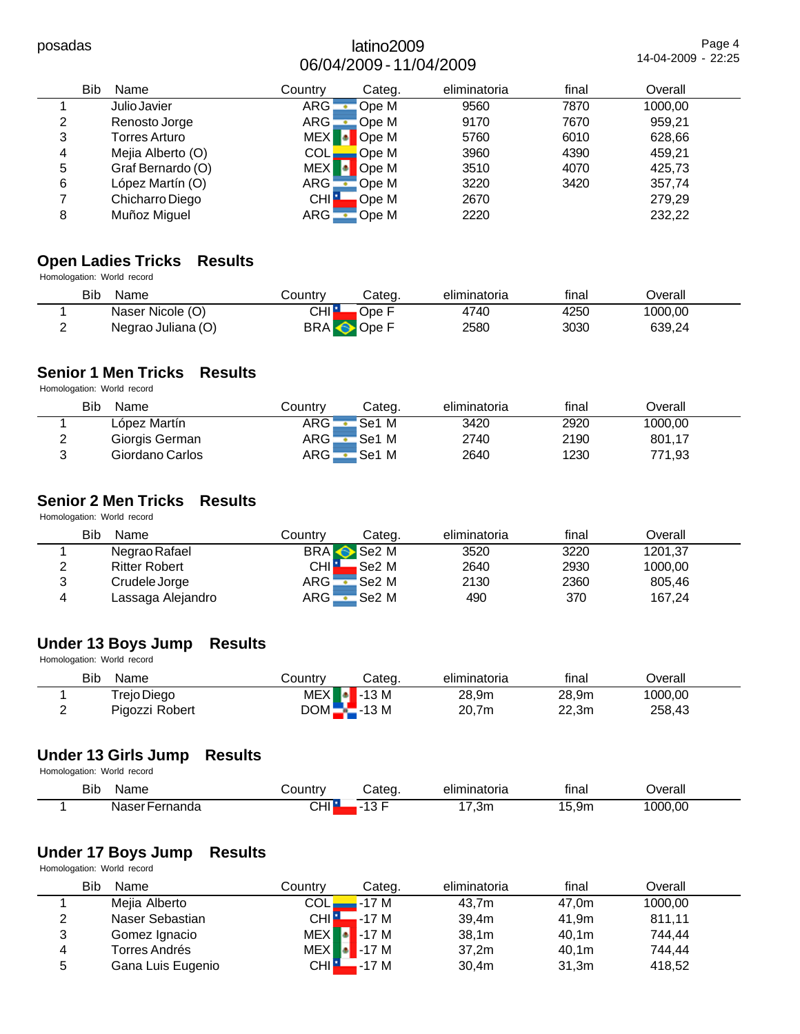Page 4 14-04-2009 - 22:25

|   | Bib<br>Name          | Countrv          | Categ. | eliminatoria | final | Overall |  |
|---|----------------------|------------------|--------|--------------|-------|---------|--|
|   | Julio Javier         | <b>ARG</b>       | Ope M  | 9560         | 7870  | 1000,00 |  |
| 2 | Renosto Jorge        | <b>ARG</b>       | Ope M  | 9170         | 7670  | 959,21  |  |
| 3 | <b>Torres Arturo</b> | <b>MEX</b>       | Ope M  | 5760         | 6010  | 628,66  |  |
| 4 | Mejia Alberto (O)    | <b>COL</b>       | Ope M  | 3960         | 4390  | 459,21  |  |
| 5 | Graf Bernardo (O)    | MEX <sup>1</sup> | Ope M  | 3510         | 4070  | 425,73  |  |
| 6 | López Martín (O)     | ARG              | Ope M  | 3220         | 3420  | 357,74  |  |
|   | Chicharro Diego      | <b>CHI</b>       | Ope M  | 2670         |       | 279,29  |  |
| 8 | Muñoz Miguel         | ARG              | Ope M  | 2220         |       | 232,22  |  |

# **Open Ladies Tricks Results**

Homologation: World record

| <b>Bib</b><br>Name | Countrv            | Cateɑ.    | eliminatoria | final | Overall |  |
|--------------------|--------------------|-----------|--------------|-------|---------|--|
| Naser Nicole (O)   | CHI <mark>H</mark> | Ope F     | 4740         | 4250  | 1000.00 |  |
| Negrao Juliana (O) |                    | BRA Ope F | 2580         | 3030  | 639,24  |  |

# **Senior 1 Men Tricks Results**

Homologation: World record

|   | <b>Bib</b><br>Name | Countrv      | Cateɑ. | eliminatoria | final | Overall |  |
|---|--------------------|--------------|--------|--------------|-------|---------|--|
|   | López Martín       | ARG -        | Se1 M  | 3420         | 2920  | 1000,00 |  |
| ີ | Giorgis German     | ARG <b>-</b> | Se1 M  | 2740         | 2190  | 801,17  |  |
| ົ | Giordano Carlos    | ARG          | Se1 M  | 2640         | 1230  | 771,93  |  |

# **Senior 2 Men Tricks Results**

Homologation: World record

| Bib    | Name                 | Countrv                    | Cateɑ.             | eliminatoria | final | Overall |  |
|--------|----------------------|----------------------------|--------------------|--------------|-------|---------|--|
|        | Negrao Rafael        |                            | BRA Se2 M          | 3520         | 3220  | 1201.37 |  |
| ົ<br>← | <b>Ritter Robert</b> | CHI <mark>H</mark>         | <sub>≀</sub> Se2 M | 2640         | 2930  | 1000.00 |  |
| 3      | Crudele Jorge        | ARG -                      | Se2 M              | 2130         | 2360  | 805.46  |  |
| 4      | Lassaga Alejandro    | $\mathsf{ARG} \sqsubseteq$ | Se2 M              | 490          | 370   | 167,24  |  |

# **Under 13 Boys Jump Results**

Homologation: World record

|          | <b>Bib</b><br>Name | こountrv               | Categ. | eliminatoria | final | Dverall |  |
|----------|--------------------|-----------------------|--------|--------------|-------|---------|--|
|          | Trejo Diego        | $MEX$ $\bullet$ -13 M |        | 28,9m        | 28.9m | 1000,00 |  |
| <u>_</u> | Pigozzi Robert     | $DOM$ -13 M           |        | 20.7m        | 22.3m | 258,43  |  |

#### **Under 13 Girls Jump Results**

Homologation: World record

| <b>Bib</b><br>$\sim$ | ם ווכ                 |     |                                           | -----<br>лю<br>-     | <br>tınal | احتصدا<br>erall |
|----------------------|-----------------------|-----|-------------------------------------------|----------------------|-----------|-----------------|
|                      | ΝS<br>' IUc<br>.<br>. | ◡⊓ા | $\sim$ $\sim$ $\sim$ $\sim$ $\sim$ $\sim$ | .3m<br>$\sim$ $\sim$ | <br>__    | ,,,             |

# **Under 17 Boys Jump Results**

|                | Bib<br>Name       | Countrv            | Categ.                | eliminatoria | final | Overall |  |
|----------------|-------------------|--------------------|-----------------------|--------------|-------|---------|--|
|                | Mejia Alberto     | <b>COLI</b>        | $-17M$                | 43.7m        | 47.0m | 1000,00 |  |
| $\overline{c}$ | Naser Sebastian   | CHI <mark>L</mark> | $-17M$                | 39.4m        | 41.9m | 811,11  |  |
| 3              | Gomez Ignacio     |                    | $MEX$ $\bullet$ -17 M | 38.1m        | 40.1m | 744.44  |  |
| 4              | Torres Andrés     |                    | $MEX$ -17 M           | 37,2m        | 40.1m | 744.44  |  |
| 5              | Gana Luis Eugenio | <b>CHI</b>         | $-17M$                | 30.4m        | 31,3m | 418,52  |  |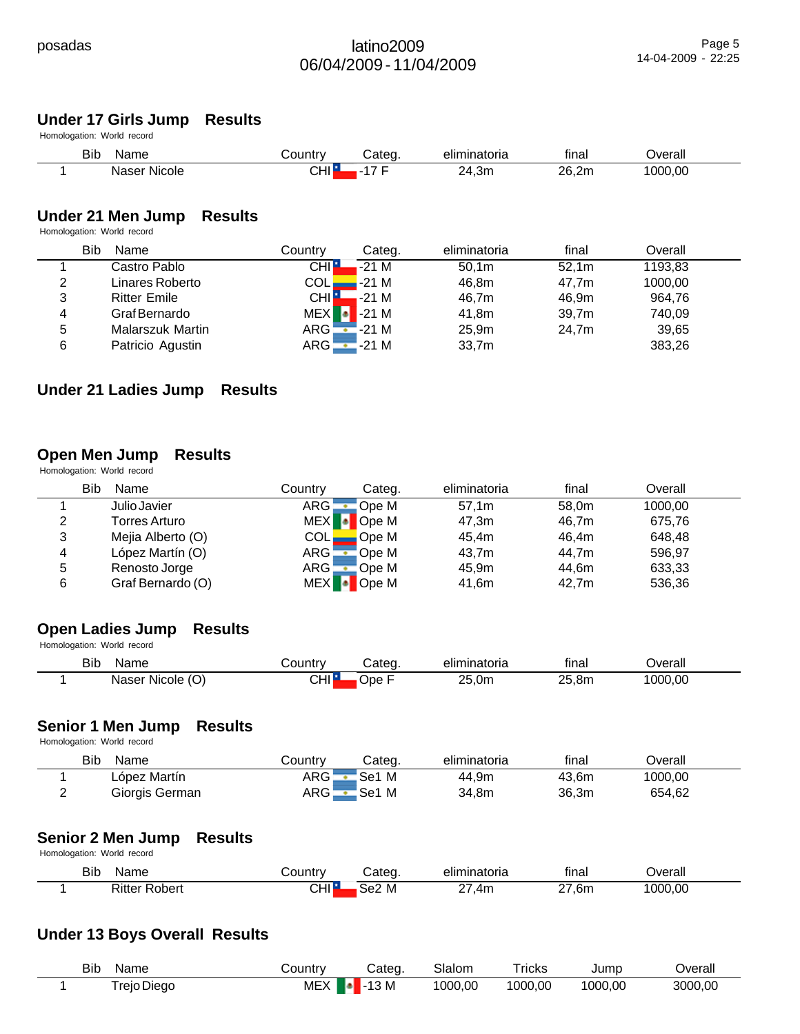# **Under 17 Girls Jump Results**

Homologation: World record

| <b>Bib</b> | Name              | ∟ountr∨ | ∵ateɑ           | eliminatoria | <br>tınal | ∪erall  |  |
|------------|-------------------|---------|-----------------|--------------|-----------|---------|--|
|            | .<br>Naser Nicole | CHI I   | . .<br>-<br>. . | 24,3m        | 26,2m     | 1000.00 |  |

# **Under 21 Men Jump Results**

Homologation: World record

|   | <b>Bib</b><br>Name  | Country                    | Categ.                | eliminatoria      | final | Overall |  |
|---|---------------------|----------------------------|-----------------------|-------------------|-------|---------|--|
|   | Castro Pablo        | <b>CHI:</b>                | $-21M$                | 50.1m             | 52.1m | 1193,83 |  |
| 2 | Linares Roberto     | $\mathsf{COL}\blacksquare$ | $-21M$                | 46.8m             | 47.7m | 1000,00 |  |
| 3 | <b>Ritter Emile</b> | CHI H                      | $-21M$                | 46.7m             | 46.9m | 964.76  |  |
| 4 | Graf Bernardo       |                            | $MEX$ $\bullet$ -21 M | 41.8m             | 39.7m | 740,09  |  |
| 5 | Malarszuk Martin    |                            | $ARG - 21 M$          | 25.9 <sub>m</sub> | 24.7m | 39,65   |  |
| 6 | Patricio Agustin    |                            | $ARG - 21 M$          | 33,7m             |       | 383,26  |  |

#### **Under 21 Ladies Jump Results**

#### **Open Men Jump Results**

Homologation: World record

|   | Bib<br>Name       | Countrv      | Categ.         | eliminatoria | final | Overall |  |
|---|-------------------|--------------|----------------|--------------|-------|---------|--|
|   | Julio Javier      | ARG -        | Ope M          | 57.1m        | 58.0m | 1000,00 |  |
| 2 | Torres Arturo     | <b>MEX</b>   | <b>D</b> Ope M | 47.3m        | 46.7m | 675.76  |  |
| 3 | Mejia Alberto (O) | COLI         | Ope M          | 45.4m        | 46.4m | 648.48  |  |
| 4 | López Martín (O)  | ARG          | Ope M!         | 43.7m        | 44.7m | 596.97  |  |
| 5 | Renosto Jorge     | $ARG$ $\Box$ | 'Ope M         | 45.9m        | 44.6m | 633,33  |  |
| 6 | Graf Bernardo (O) | <b>MEX</b>   | Ope M          | 41.6m        | 42.7m | 536,36  |  |

#### **Open Ladies Jump Results**

Homologation: World record

| <b>Bib</b> | Name         | ountr∨ٽ | Categ | eliminatoria | $\cdots$<br>tınal | ⊃verall |  |
|------------|--------------|---------|-------|--------------|-------------------|---------|--|
|            | Naser Nicole | CHI∥    | )pe   | 25,0m        | າ⊳<br>.8n         | 1000,00 |  |

#### **Senior 1 Men Jump Results**

Homologation: World record

| <b>Bib</b><br>Name | こountry            | Categ. | eliminatoria | final | ⊃verall |  |
|--------------------|--------------------|--------|--------------|-------|---------|--|
| López Martín       | ARG                | Se1 M  | 44,9m        | 43,6m | 1000.00 |  |
| Giorgis German     | ARG <mark>.</mark> | Se1 M  | 34.8m        | 36,3m | 654,62  |  |

#### **Senior 2 Men Jump Results**

Homologation: World record

| Bit<br>Name    | ountrv     | ateo     | <br>eliminatoria | $\cdots$<br>tınaı | ס∨erall |  |
|----------------|------------|----------|------------------|-------------------|---------|--|
| Ritter<br>nher | <b>CHI</b> | M<br>Se2 | 4m               | 6n<br>$-$         | 1000.00 |  |

# **Under 13 Boys Overall Results**

| <b>Bib</b><br>Name | ountryٽ          | Categ  | Slalom  | ricks   | Jump    | Jverall |
|--------------------|------------------|--------|---------|---------|---------|---------|
| Freio Dieao        | <b>MEX</b><br>lа | $-13M$ | 1000,00 | 1000,00 | 1000,00 | 3000.00 |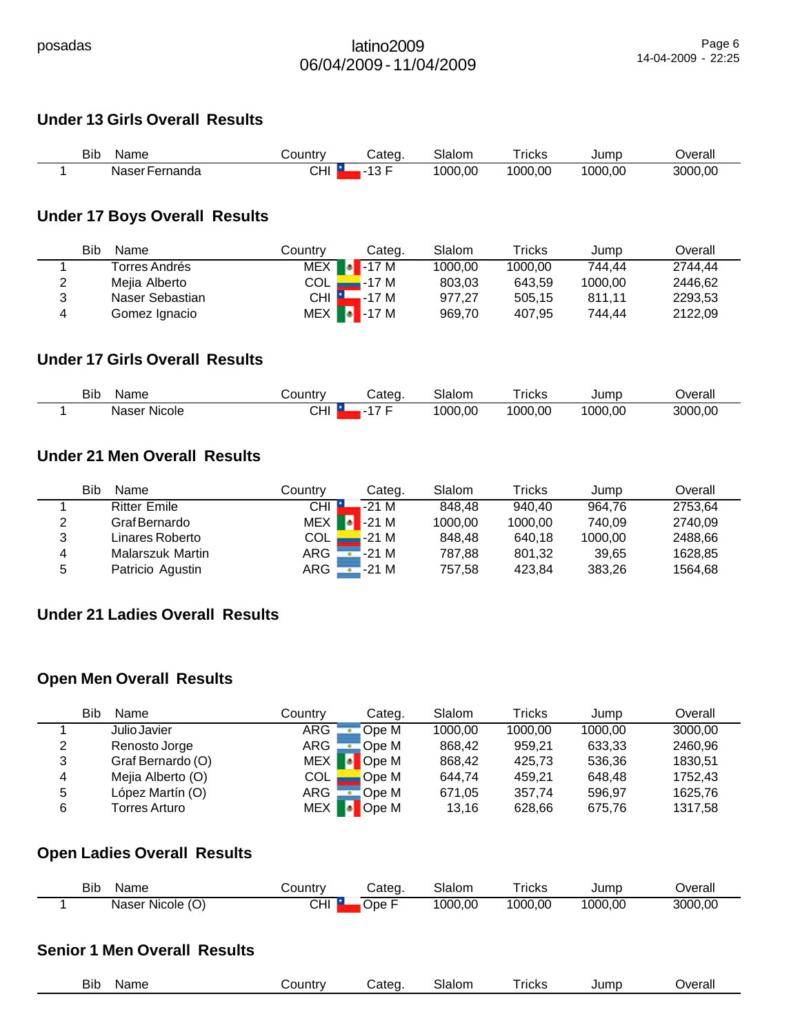# **Under 13 Girls Overall Results**

| Bib<br>Name    | ∟ountr∨ت | ;ateq  | Slalom  | ricks   | Jumc    | Jverall |
|----------------|----------|--------|---------|---------|---------|---------|
| Naser Fernanda | CHI      | $\sim$ | 1000.00 | 1000.00 | 1000.00 | 3000.00 |

# **Under 17 Boys Overall Results**

|   | Bib<br>Name     | Country | Categ.                | Slalom  | Tricks  | Jump    | Overall |
|---|-----------------|---------|-----------------------|---------|---------|---------|---------|
|   | Torres Andrés   | MEX     | $\blacksquare$ - 17 M | 1000,00 | 1000.00 | 744.44  | 2744.44 |
| 2 | Mejia Alberto   | COL     | -17 M                 | 803.03  | 643.59  | 1000.00 | 2446.62 |
| ີ | Naser Sebastian | $CHI$ M | -17 M                 | 977.27  | 505.15  | 811.11  | 2293.53 |
| 4 | Gomez Ignacio   |         | $MEX$ $\bullet$ 17 M  | 969.70  | 407.95  | 744.44  | 2122.09 |

# **Under 17 Girls Overall Results**

| <b>Bib</b> | Name         | じountr∨ | ;ateq | Slalom  | - -<br>ricks | Jumc    | Jverall |
|------------|--------------|---------|-------|---------|--------------|---------|---------|
|            | Naser Nicole | CHI     |       | 1000,00 | 1000.00      | 1000.00 | 3000,00 |

# **Under 21 Men Overall Results**

|   | <b>Bib</b><br>Name  | Countrv | Categ.               | Slalom  | Tricks  | Jump    | Overall |
|---|---------------------|---------|----------------------|---------|---------|---------|---------|
|   | <b>Ritter Emile</b> | CHI     | $-21M$               | 848.48  | 940.40  | 964.76  | 2753,64 |
| 2 | Graf Bernardo       | MEX     | $\blacksquare$ -21 M | 1000,00 | 1000.00 | 740.09  | 2740,09 |
| 3 | Linares Roberto     | COL     | -21 M                | 848.48  | 640.18  | 1000,00 | 2488.66 |
| 4 | Malarszuk Martin    | ARG ¦   | -21 M                | 787,88  | 801.32  | 39.65   | 1628.85 |
| 5 | Patricio Agustin    | $ARG =$ | -21 M                | 757,58  | 423.84  | 383,26  | 1564,68 |

# **Under 21 Ladies Overall Results**

# **Open Men Overall Results**

|   | Bib<br>Name       | Country | Categ.         | Slalom  | Tricks  | Jump    | Overall |
|---|-------------------|---------|----------------|---------|---------|---------|---------|
|   | Julio Javier      | ARG     | Ope M          | 1000.00 | 1000.00 | 1000.00 | 3000.00 |
| 2 | Renosto Jorge     | ARG     | Ope M          | 868.42  | 959.21  | 633,33  | 2460.96 |
| 3 | Graf Bernardo (O) | MEX     | <b>D</b> Ope M | 868.42  | 425.73  | 536.36  | 1830.51 |
| 4 | Mejia Alberto (O) | COL.    | Ope M          | 644.74  | 459.21  | 648.48  | 1752.43 |
| 5 | López Martín (O)  | ARG     | Ope M          | 671,05  | 357.74  | 596.97  | 1625.76 |
| 6 | Torres Arturo     | MEX     | Ope M          | 13.16   | 628,66  | 675,76  | 1317,58 |

# **Open Ladies Overall Results**

| BID | Name                | <b>⊜ountr</b> ∨ | :atea | Slalom | Tricks  | Jump    | )verall |
|-----|---------------------|-----------------|-------|--------|---------|---------|---------|
|     | Naser Nicole<br>(U) | CHI             | ⊃pe   | 000.00 | 1000.00 | 1000.00 | 3000.00 |

# **Senior 1 Men Overall Results**

| $ -$<br>31b<br>$\sim$ | Name<br>___ | .<br>ount.<br>. . | ---<br>.<br>τρι<br>'ان<br>$\sim$ | $\sim$<br>$\sim$ 100 $\mu$<br>הוסוור.<br>____ | ricks<br>_____ | $\cdots$<br>und L<br>--- | Overall<br>____ |
|-----------------------|-------------|-------------------|----------------------------------|-----------------------------------------------|----------------|--------------------------|-----------------|
|                       |             |                   |                                  |                                               |                |                          |                 |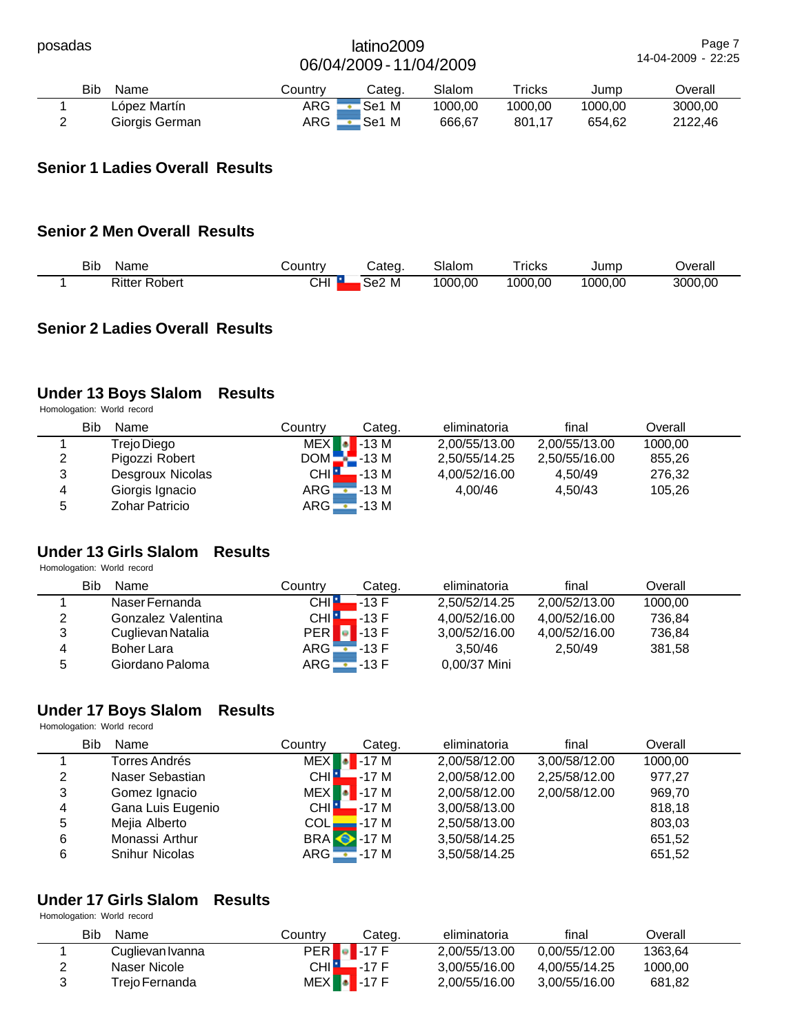| posadas |                    |         | latino2009<br>06/04/2009 - 11/04/2009 |         |         |         | Page 7<br>14-04-2009 - 22:25 |
|---------|--------------------|---------|---------------------------------------|---------|---------|---------|------------------------------|
|         | <b>Bib</b><br>Name | Country | Categ.                                | Slalom  | Tricks  | Jump    | Overall                      |
|         | López Martín       | ARG     | Se1 M                                 | 1000.00 | 1000.00 | 1000.00 | 3000.00                      |
| າ       | Giorgis German     | ARG     | Se1 M                                 | 666.67  | 801,17  | 654.62  | 2122.46                      |

# **Senior 1 Ladies Overall Results**

# **Senior 2 Men Overall Results**

| <b>Bib</b> | Name                       | ∟ountr∨ت         | Cated.            | Slalom  | ricks   | Jump    | Overall |
|------------|----------------------------|------------------|-------------------|---------|---------|---------|---------|
|            | Ritter<br>$\sim$<br>Robert | $\sim$ 11<br>◡⊓ા | Se <sub>2</sub> M | 1000.00 | 1000.00 | 1000,00 | 3000.00 |

# **Senior 2 Ladies Overall Results**

# **Under 13 Boys Slalom Results**

Homologation: World record

|   | Bib<br>Name           | Countrv      | Categ.          | eliminatoria  | final         | Overall |  |
|---|-----------------------|--------------|-----------------|---------------|---------------|---------|--|
|   | Trejo Diego           | <b>MEX</b>   | $\bullet$ -13 M | 2,00/55/13.00 | 2,00/55/13.00 | 1000.00 |  |
| 2 | Pigozzi Robert        | $DOM - 13 M$ |                 | 2,50/55/14.25 | 2,50/55/16.00 | 855.26  |  |
| 3 | Desgroux Nicolas      | CHI H        | -13 M           | 4.00/52/16.00 | 4.50/49       | 276.32  |  |
| 4 | Giorgis Ignacio       | $ARG - 13 M$ |                 | 4.00/46       | 4.50/43       | 105.26  |  |
| 5 | <b>Zohar Patricio</b> | ARG          | -13 M           |               |               |         |  |

# **Under 13 Girls Slalom Results**

Homologation: World record

|        | Bib<br>Name        | Countrv      | Categ.          | eliminatoria  | final         | Overall |  |
|--------|--------------------|--------------|-----------------|---------------|---------------|---------|--|
|        | Naser Fernanda     | CHI L        | .-13 F          | 2.50/52/14.25 | 2,00/52/13.00 | 1000.00 |  |
| っ<br>∠ | Gonzalez Valentina | CHI <b>E</b> | $-13 F$         | 4.00/52/16.00 | 4.00/52/16.00 | 736.84  |  |
| 3      | Cuglievan Natalia  | <b>PER</b>   | $\bullet$ -13 F | 3,00/52/16.00 | 4.00/52/16.00 | 736,84  |  |
| 4      | <b>Boher Lara</b>  | ARG <b>L</b> | $-13F$          | 3.50/46       | 2.50/49       | 381.58  |  |
| 5      | Giordano Paloma    | $ARG$ $\Box$ | '-13 F          | 0.00/37 Mini  |               |         |  |

#### **Under 17 Boys Slalom Results**

|   | Homologation: World record |                    |                   |               |               |         |  |  |  |
|---|----------------------------|--------------------|-------------------|---------------|---------------|---------|--|--|--|
|   | Bib<br>Name                | Country            | Categ.            | eliminatoria  | final         | Overall |  |  |  |
|   | Torres Andrés              | <b>MEX</b>         | $-17M$            | 2,00/58/12.00 | 3,00/58/12.00 | 1000,00 |  |  |  |
| 2 | Naser Sebastian            | CHI <sup>H</sup>   | . -17 M           | 2,00/58/12.00 | 2,25/58/12.00 | 977,27  |  |  |  |
| 3 | Gomez Ignacio              | MEX <sup>1</sup>   | $-17M$            | 2,00/58/12.00 | 2,00/58/12.00 | 969,70  |  |  |  |
| 4 | Gana Luis Eugenio          | CHI <sup>I</sup> L | <b>-</b> -17 M    | 3,00/58/13.00 |               | 818.18  |  |  |  |
| 5 | Mejia Alberto              | COL <sub>-</sub>   | -17 M             | 2,50/58/13.00 |               | 803,03  |  |  |  |
| 6 | Monassi Arthur             |                    | <b>BRA</b> • 17 M | 3,50/58/14.25 |               | 651,52  |  |  |  |
| 6 | <b>Snihur Nicolas</b>      | $ARG - 17 M$       |                   | 3,50/58/14.25 |               | 651,52  |  |  |  |

# **Under 17 Girls Slalom Results**

| Bib<br>Name      | Countrv | Categ.               | eliminatoria  | final         | Overall |  |
|------------------|---------|----------------------|---------------|---------------|---------|--|
| Cuglievan Ivanna |         | $PER$ $\bullet$ 17 F | 2.00/55/13.00 | 0.00/55/12.00 | 1363.64 |  |
| Naser Nicole     | CHI     | $-17F$               | 3.00/55/16.00 | 4.00/55/14.25 | 1000.00 |  |
| Treio Fernanda   |         | $MEX$ -17 F          | 2,00/55/16.00 | 3.00/55/16.00 | 681,82  |  |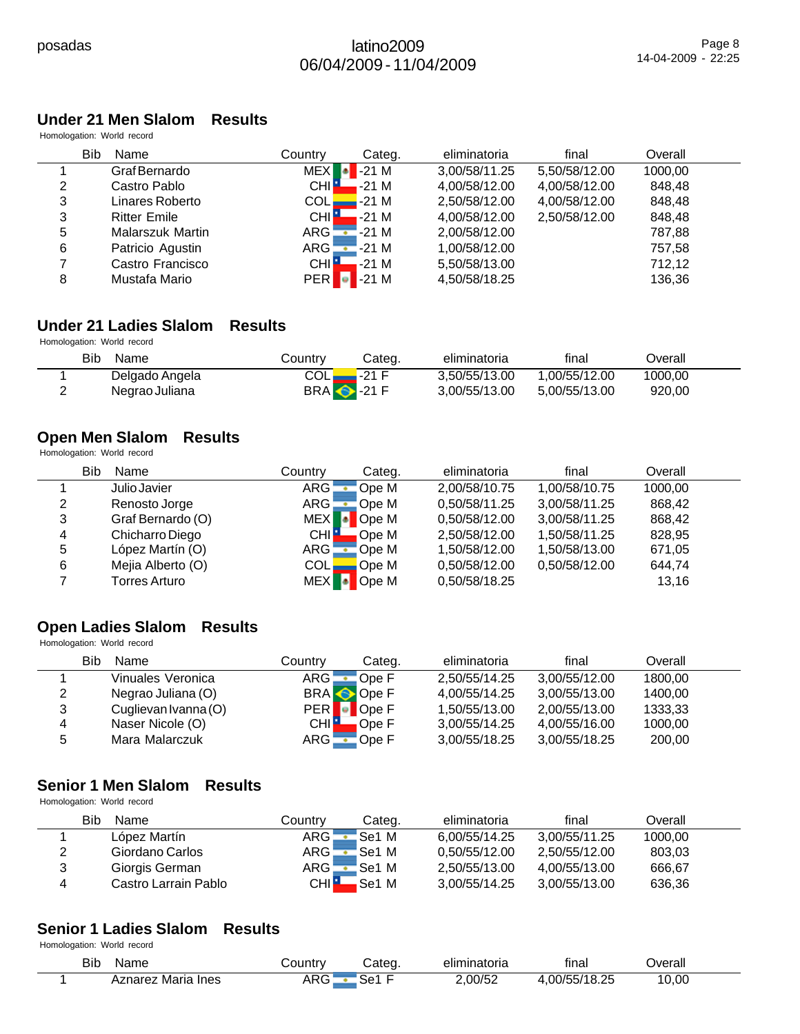# **Under 21 Men Slalom Results**

Homologation: World record

|   | <b>Bib</b><br>Name  | Country             | Categ.                             | eliminatoria  | final         | Overall |  |
|---|---------------------|---------------------|------------------------------------|---------------|---------------|---------|--|
|   | Graf Bernardo       | <b>MEX</b>          | $-21M$                             | 3,00/58/11.25 | 5,50/58/12.00 | 1000,00 |  |
| 2 | Castro Pablo        | CHI I               | $-21M$                             | 4,00/58/12.00 | 4,00/58/12.00 | 848,48  |  |
| 3 | Linares Roberto     | COL                 | $-21M$                             | 2,50/58/12.00 | 4,00/58/12.00 | 848,48  |  |
| 3 | <b>Ritter Emile</b> | CHI <mark>IL</mark> | . -21 M                            | 4,00/58/12.00 | 2,50/58/12.00 | 848.48  |  |
| 5 | Malarszuk Martin    | $\overline{ARG}$    | '-21 M<br>$\overline{\phantom{0}}$ | 2,00/58/12.00 |               | 787,88  |  |
| 6 | Patricio Agustin    | ARG <b>L</b>        | $-21M$                             | 1,00/58/12.00 |               | 757.58  |  |
|   | Castro Francisco    | <b>CHIL</b>         | -21 M                              | 5,50/58/13.00 |               | 712,12  |  |
| 8 | Mustafa Mario       | <b>PER</b>          | -21 M                              | 4,50/58/18.25 |               | 136,36  |  |

# **Under 21 Ladies Slalom Results**

Homologation: World record

| Bib<br>Name    | Country                    | Categ. | eliminatoria  | final         | Dverall |  |
|----------------|----------------------------|--------|---------------|---------------|---------|--|
| Delgado Angela | COLI                       | ∡-21 F | 3.50/55/13.00 | 1.00/55/12.00 | 1000.00 |  |
| Negrao Juliana | <b>BRA</b> $\bullet$ -21 F |        | 3.00/55/13.00 | 5.00/55/13.00 | 920,00  |  |

# **Open Men Slalom Results**

Homologation: World record

|   | Bib<br>Name       | Countrv          | Categ. | eliminatoria  | final         | Overall |  |
|---|-------------------|------------------|--------|---------------|---------------|---------|--|
|   | Julio Javier      | ARG              | Ope M  | 2,00/58/10.75 | 1,00/58/10.75 | 1000,00 |  |
| າ | Renosto Jorge     | ARG :            | Ope M  | 0,50/58/11.25 | 3,00/58/11.25 | 868.42  |  |
| 3 | Graf Bernardo (O) | <b>MEX</b>       | Ope M  | 0,50/58/12.00 | 3,00/58/11.25 | 868.42  |  |
| 4 | Chicharro Diego   | CHI <sup>P</sup> | Ope M  | 2,50/58/12.00 | 1.50/58/11.25 | 828,95  |  |
| 5 | López Martín (O)  | ARG -            | Ope M  | 1,50/58/12.00 | 1,50/58/13.00 | 671,05  |  |
| 6 | Mejia Alberto (O) | COLI             | Ope M  | 0.50/58/12.00 | 0.50/58/12.00 | 644,74  |  |
|   | Torres Arturo     | <b>MEX</b>       | Ope M  | 0,50/58/18.25 |               | 13,16   |  |

#### **Open Ladies Slalom Results** Homologation: World record

|   | Bib<br>Name          | Country            | Categ.    | eliminatoria  | final         | Overall |  |
|---|----------------------|--------------------|-----------|---------------|---------------|---------|--|
|   | Vinuales Veronica    | ARG.               | Ope F     | 2.50/55/14.25 | 3,00/55/12.00 | 1800.00 |  |
| 2 | Negrao Juliana (O)   |                    | BRA Ope F | 4.00/55/14.25 | 3.00/55/13.00 | 1400.00 |  |
| 3 | Cuglievan Ivanna (O) | PER <b>.</b>       | Ope F     | 1,50/55/13.00 | 2.00/55/13.00 | 1333,33 |  |
| 4 | Naser Nicole (O)     | CHI <mark>-</mark> | Ope F     | 3,00/55/14.25 | 4,00/55/16.00 | 1000,00 |  |
|   | Mara Malarczuk       | ARG                | Ope F     | 3,00/55/18.25 | 3,00/55/18.25 | 200,00  |  |

# **Senior 1 Men Slalom Results**

Homologation: World record

|   | Bib<br>Name          | Countrv | Categ. | eliminatoria  | final         | Overall |  |
|---|----------------------|---------|--------|---------------|---------------|---------|--|
|   | López Martín         | ARG .   | Se1 M  | 6.00/55/14.25 | 3.00/55/11.25 | 1000,00 |  |
| 2 | Giordano Carlos      | ARG L   | Se1 M  | 0.50/55/12.00 | 2.50/55/12.00 | 803.03  |  |
| 3 | Giorgis German       | ARG -   | Se1 M  | 2.50/55/13.00 | 4.00/55/13.00 | 666,67  |  |
| 4 | Castro Larrain Pablo | CHI∎    | .Se1 M | 3.00/55/14.25 | 3.00/55/13.00 | 636,36  |  |

#### **Senior 1 Ladies Slalom Results** Homologation: World record

| Bib<br>Name          | شountr⊾            | `ateg.        | <br>eliminatoria | $\cdot$<br>tınal                       | )verall |  |
|----------------------|--------------------|---------------|------------------|----------------------------------------|---------|--|
| Maria<br>Ines<br>'e∠ | DO.<br>"<br>. טוור | r<br>∹≏'<br>ື | .00/52           | $\sim$ $\sim$ $\sim$<br>00/5!<br>ت∠.ه+ | 0,00    |  |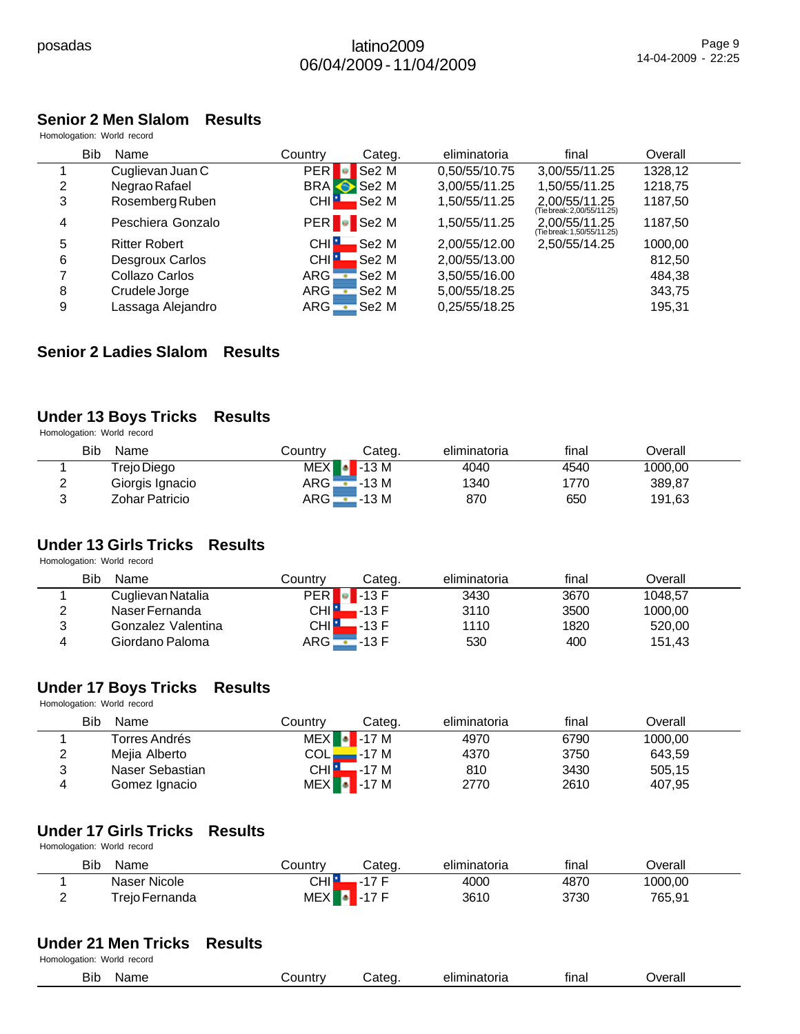# **Senior 2 Men Slalom Results**

Homologation: World record

|   | <b>Bib</b><br>Name   | Country           | Categ.             | eliminatoria  | final                                       | Overall |  |
|---|----------------------|-------------------|--------------------|---------------|---------------------------------------------|---------|--|
|   | Cuglievan Juan C     | <b>PER</b>        | Se <sub>2</sub> M  | 0,50/55/10.75 | 3,00/55/11.25                               | 1328,12 |  |
| 2 | Negrao Rafael        |                   | BRA Se2 M          | 3,00/55/11.25 | 1,50/55/11.25                               | 1218,75 |  |
| 3 | Rosemberg Ruben      | CHI <sup>H</sup>  | Se2 M              | 1,50/55/11.25 | 2,00/55/11.25<br>(Tie break: 2,00/55/11.25) | 1187,50 |  |
| 4 | Peschiera Gonzalo    |                   | PER <b>C</b> Se2 M | 1,50/55/11.25 | 2.00/55/11.25<br>(Tie break: 1,50/55/11.25) | 1187.50 |  |
| 5 | <b>Ritter Robert</b> | CHI <sup>-L</sup> | Se2 M              | 2,00/55/12.00 | 2,50/55/14.25                               | 1000,00 |  |
| 6 | Desgroux Carlos      | CHI <sup>1</sup>  | Se2 M              | 2,00/55/13.00 |                                             | 812,50  |  |
|   | Collazo Carlos       | ARG:              | Se <sub>2</sub> M  | 3,50/55/16.00 |                                             | 484.38  |  |
| 8 | Crudele Jorge        | ARG .             | Se <sub>2</sub> M  | 5,00/55/18.25 |                                             | 343,75  |  |
| 9 | Lassaga Alejandro    | ARG -             | Se <sub>2</sub> M  | 0,25/55/18.25 |                                             | 195,31  |  |

### **Senior 2 Ladies Slalom Results**

# **Under 13 Boys Tricks Results**

Homologation: World record

|   | Bib<br>Name     | Countrv | Cateɑ.                | eliminatoria | final | Overall |  |
|---|-----------------|---------|-----------------------|--------------|-------|---------|--|
|   | Trejo Diego     |         | $MEX$ $\bullet$ -13 M | 4040         | 4540  | 1000,00 |  |
| ← | Giorgis Ignacio | $ARG -$ | '-13 M                | 1340         | 1770  | 389.87  |  |
| J | Zohar Patricio  | ARG     | -13 M                 | 870          | 650   | 191,63  |  |

# **Under 13 Girls Tricks Results**

Homologation: World record

|   | Bib<br>Name        | Countrv          | Cateɑ.          | eliminatoria | final | Overall |  |
|---|--------------------|------------------|-----------------|--------------|-------|---------|--|
|   | Cuglievan Natalia  | <b>PER</b>       | $\bullet$ -13 F | 3430         | 3670  | 1048.57 |  |
| ົ | Naser Fernanda     | CHI <sup>n</sup> | .-13 F          | 3110         | 3500  | 1000.00 |  |
| 2 | Gonzalez Valentina | CHI L            | .-13 F          | 1110         | 1820  | 520.00  |  |
|   | Giordano Paloma    | $ARG$ $\qquad$   | '-13 F          | 530          | 400   | 151.43  |  |

# **Under 17 Boys Tricks Results**

Homologation: World record

|        | Bib<br>Name     | Countrv | Categ.                | eliminatoria | final | Overall |  |
|--------|-----------------|---------|-----------------------|--------------|-------|---------|--|
|        | Torres Andrés   |         | $MEX$ -17 M           | 4970         | 6790  | 1000.00 |  |
| ົ<br>∠ | Mejia Alberto   |         | $COL$ $\_\_$ -17 M    | 4370         | 3750  | 643,59  |  |
| ີ      | Naser Sebastian |         | $CHI$ -17 M           | 810          | 3430  | 505,15  |  |
| 4      | Gomez Ignacio   |         | $MEX$ $\bullet$ -17 M | 2770         | 2610  | 407,95  |  |

# **Under 17 Girls Tricks Results**

Homologation: World record

| Bib<br>Name    | Country    | Categ.      | eliminatoria | final | ⊃verall |  |
|----------------|------------|-------------|--------------|-------|---------|--|
| Naser Nicole   | CHI∎       | ィフ ロ<br>- 1 | 4000         | 4870  | 1000,00 |  |
| Trejo Fernanda | <b>MEX</b> | $-17F$      | 3610         | 3730  | 765,91  |  |

#### **Under 21 Men Tricks Results**

| Bit<br>$-$<br>n<br>vame | ountry<br>1 M | וה | าatorıa<br>ΝП | tınol<br>ша | . Wer<br>erall |  |
|-------------------------|---------------|----|---------------|-------------|----------------|--|
|                         |               |    |               |             |                |  |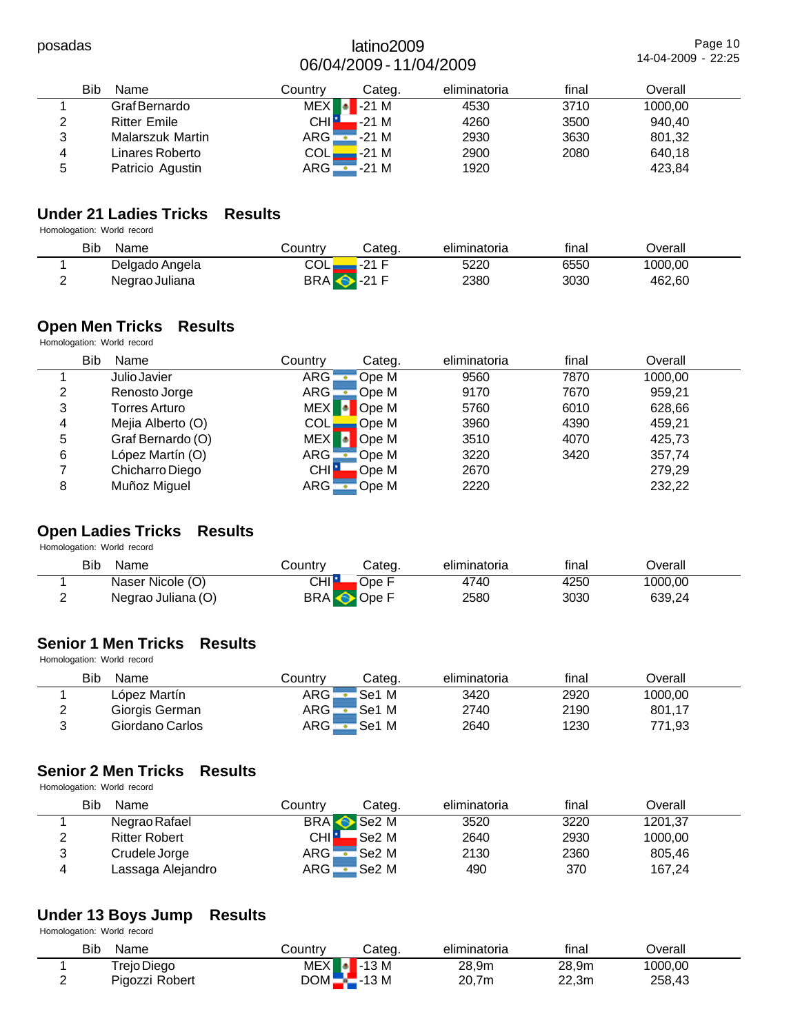Page 10 14-04-2009 - 22:25

|   | Bib<br>Name         | Countrv      | Categ.        | eliminatoria | final | Overall |  |
|---|---------------------|--------------|---------------|--------------|-------|---------|--|
|   | Graf Bernardo       | <b>MEX</b>   | $\sqrt{21}$ M | 4530         | 3710  | 1000,00 |  |
|   | <b>Ritter Emile</b> | CHI L        | $-21M$        | 4260         | 3500  | 940.40  |  |
| 3 | Malarszuk Martin    | $ARG -$      | -21 M         | 2930         | 3630  | 801,32  |  |
| 4 | Linares Roberto     | COLI         | -21 M         | 2900         | 2080  | 640,18  |  |
| 5 | Patricio Agustin    | ARG <b>L</b> | $-21M$        | 1920         |       | 423,84  |  |

# **Under 21 Ladies Tricks Results**

Homologation: World record

| Bib<br>Name    | Country                    | Categ. | eliminatoria | final | <b>Dverall</b> |  |
|----------------|----------------------------|--------|--------------|-------|----------------|--|
| Delgado Angela | COLI                       | ∡-21 F | 5220         | 6550  | 1000.00        |  |
| Negrao Juliana | <b>BRA</b> $\bullet$ -21 F |        | 2380         | 3030  | 462,60         |  |

# **Open Men Tricks Results**

Homologation: World record

| Bib | Name              | Country    | Categ. | eliminatoria | final | Overall |  |
|-----|-------------------|------------|--------|--------------|-------|---------|--|
|     | Julio Javier      | <b>ARG</b> | Ope M  | 9560         | 7870  | 1000.00 |  |
| 2   | Renosto Jorge     | ARG        | Ope M  | 9170         | 7670  | 959,21  |  |
| 3   | Torres Arturo     | <b>MEX</b> | Ope M  | 5760         | 6010  | 628,66  |  |
| 4   | Mejia Alberto (O) | COLI       | Ope M  | 3960         | 4390  | 459.21  |  |
| 5   | Graf Bernardo (O) | <b>MEX</b> | Ope M  | 3510         | 4070  | 425,73  |  |
| 6   | López Martín (O)  | ARG¦       | Ope M  | 3220         | 3420  | 357,74  |  |
|     | Chicharro Diego   | <b>CHI</b> | Ope M  | 2670         |       | 279.29  |  |
| 8   | Muñoz Miguel      | ARG        | Ope M  | 2220         |       | 232,22  |  |

# **Open Ladies Tricks Results**

Homologation: World record

| Bib<br>Name        | こountry          | Cateɑ.       | eliminatoria | final | ⊃verall |  |
|--------------------|------------------|--------------|--------------|-------|---------|--|
| Naser Nicole (O)   | CHI∎             | <b>Ope F</b> | 4740         | 4250  | 1000,00 |  |
| Negrao Juliana (O) | <b>BRA</b> Ope F |              | 2580         | 3030  | 639,24  |  |

# **Senior 1 Men Tricks Results**

Homologation: World record

|   | <b>Bib</b><br>Name | Countrv            | Cateɑ. | eliminatoria | final | ⊃verall |  |
|---|--------------------|--------------------|--------|--------------|-------|---------|--|
|   | López Martín       | ARG <mark>-</mark> | 'Se1 M | 3420         | 2920  | 1000.00 |  |
| っ | Giorgis German     | $ARG -$            | 'Se1 M | 2740         | 2190  | 801,17  |  |
| ົ | Giordano Carlos    | $ARG -$            | 'Se1 M | 2640         | 1230  | 771,93  |  |

# **Senior 2 Men Tricks Results**

Homologation: World record

|   | Bib<br>Name          | Countrv            | Cateɑ.            | eliminatoria | final | Overall |  |
|---|----------------------|--------------------|-------------------|--------------|-------|---------|--|
|   | Negrao Rafael        |                    | BRA Se2 M         | 3520         | 3220  | 1201,37 |  |
|   | <b>Ritter Robert</b> | CHI <mark>H</mark> | Se2 M             | 2640         | 2930  | 1000,00 |  |
| າ | Crudele Jorge        | ARG <b>.</b>       | Se <sub>2</sub> M | 2130         | 2360  | 805.46  |  |
|   | Lassaga Alejandro    | ARG !              | Se2 M             | 490          | 370   | 167,24  |  |

# **Under 13 Boys Jump Results**

| Bib<br>Name    | じountry | Categ.                | eliminatoria | final | ⊃verall |  |
|----------------|---------|-----------------------|--------------|-------|---------|--|
| Trejo Diego    |         | $MEX$ $\bullet$ -13 M | 28.9m        | 28,9m | 1000.00 |  |
| Pigozzi Robert |         | $DOM - 13 M$          | 20.7m        | 22,3m | 258,43  |  |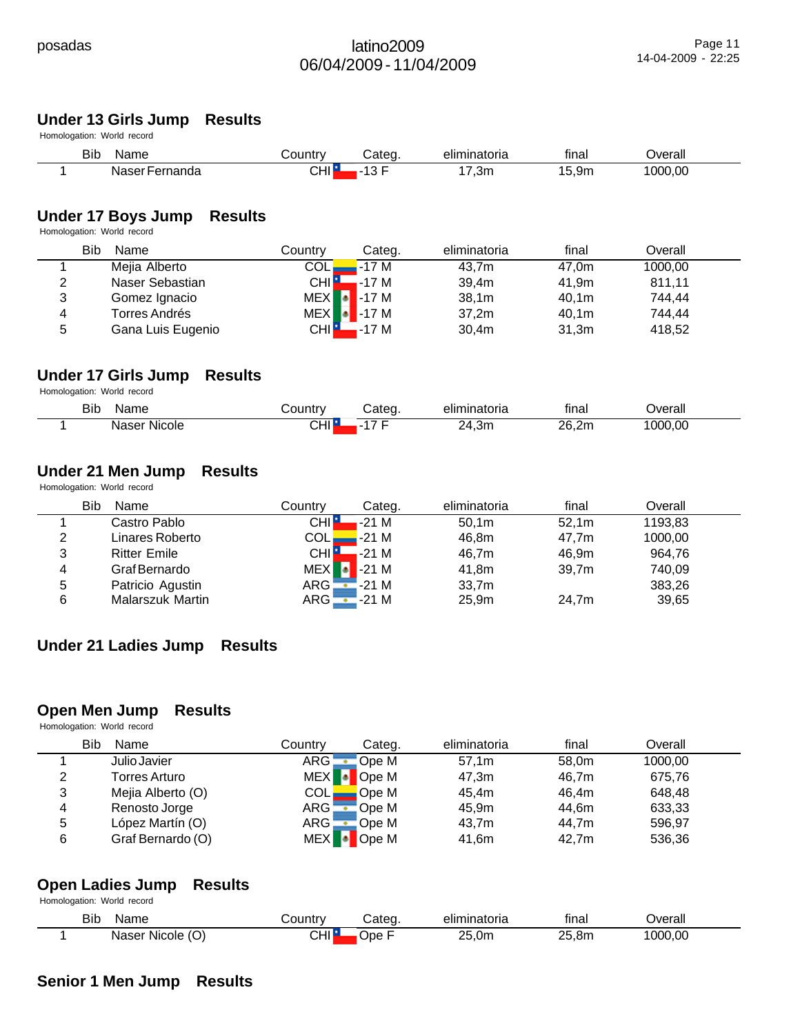# **Under 13 Girls Jump Results**

Homologation: World record

| Bib<br>Name         | ∟ountr∨ | Categ                     | eliminatoria | $\overline{\phantom{a}}$<br>tınal | Jverall |  |
|---------------------|---------|---------------------------|--------------|-----------------------------------|---------|--|
| -ernanda<br>Naser ⊦ | CHI I   | $\sim$ $\sim$<br>. .<br>ັ | 7,3m         | 1 5<br>5.9 <sub>m</sub>           | 1000.00 |  |

# **Under 17 Boys Jump Results**

Homologation: World record

|   | Bib<br>Name       | Countrv            | Categ.                | eliminatoria      | final | Overall |  |
|---|-------------------|--------------------|-----------------------|-------------------|-------|---------|--|
|   | Mejia Alberto     | COLI               | -17 M                 | 43.7m             | 47.0m | 1000,00 |  |
| 2 | Naser Sebastian   | CHI <mark>H</mark> | .-17 M                | 39.4m             | 41.9m | 811,11  |  |
| 3 | Gomez Ignacio     |                    | $MEX$ $\bullet$ -17 M | 38,1m             | 40,1m | 744.44  |  |
| 4 | Torres Andrés     |                    | $MEX$ $\bullet$ -17 M | 37.2 <sub>m</sub> | 40.1m | 744.44  |  |
| 5 | Gana Luis Eugenio |                    | $CHI$ -17 M           | 30.4 <sub>m</sub> | 31,3m | 418,52  |  |

# **Under 17 Girls Jump Results**

Homologation: World record

| Bib | Name                     | ∵ountrٽ                     | ∵ateɑ | eliminatoria | $\cdots$<br>tinal<br>____ | ⊃verall |
|-----|--------------------------|-----------------------------|-------|--------------|---------------------------|---------|
|     | .<br>: Nicole :<br>Naser | $\sim$<br>. <b>.</b><br>◡⊓ા | $ -$  | 24,3m        | 26.2 <sub>m</sub>         | 1000,00 |

#### **Under 21 Men Jump Results**

Homologation: World record

|   | Bib<br>Name         | Country    | Categ.              | eliminatoria | final | Overall |  |
|---|---------------------|------------|---------------------|--------------|-------|---------|--|
|   | Castro Pablo        | <b>CHI</b> | $-21M$              | 50.1m        | 52.1m | 1193,83 |  |
| 2 | Linares Roberto     | COLL       | $-21M$              | 46.8m        | 47.7m | 1000,00 |  |
| 3 | <b>Ritter Emile</b> | CHI H      | .-21 M              | 46.7m        | 46.9m | 964,76  |  |
| 4 | Graf Bernardo       |            | $MEX$ $\cdot$ -21 M | 41.8m        | 39.7m | 740,09  |  |
| 5 | Patricio Agustin    |            | $ARG - 21 M$        | 33,7m        |       | 383,26  |  |
| 6 | Malarszuk Martin    |            | $ARG - 21 M$        | 25,9m        | 24.7m | 39,65   |  |

# **Under 21 Ladies Jump Results**

#### **Open Men Jump Results**

Homologation: World record

|   | Bib<br>Name       | Countrv    | Categ.         | eliminatoria | final | Overall |
|---|-------------------|------------|----------------|--------------|-------|---------|
|   | Julio Javier      | ARG:       | 'Ope M         | 57.1m        | 58.0m | 1000,00 |
| っ | Torres Arturo     | <b>MEX</b> | <b>D</b> Ope M | 47,3m        | 46,7m | 675,76  |
| 3 | Mejia Alberto (O) | COLI       | Ope M          | 45.4m        | 46.4m | 648.48  |
| 4 | Renosto Jorge     | ARG:       | Ope M          | 45.9m        | 44.6m | 633,33  |
| 5 | López Martín (O)  | ARG        | Ope M          | 43,7m        | 44.7m | 596,97  |
| 6 | Graf Bernardo (O) |            | MEX   • Ope M  | 41,6m        | 42.7m | 536,36  |

#### **Open Ladies Jump Results** Homologation: World record

| Bib | Name             | `ountrv  | ∶ateɑ | eliminatoria | $\cdots$<br>final | <b>Verall</b> |  |
|-----|------------------|----------|-------|--------------|-------------------|---------------|--|
|     | Naser Nicole (O) | --<br>ᅁᄟ | )pe   | 25,0m        | っに<br>8m,         | 000,00        |  |

# **Senior 1 Men Jump Results**